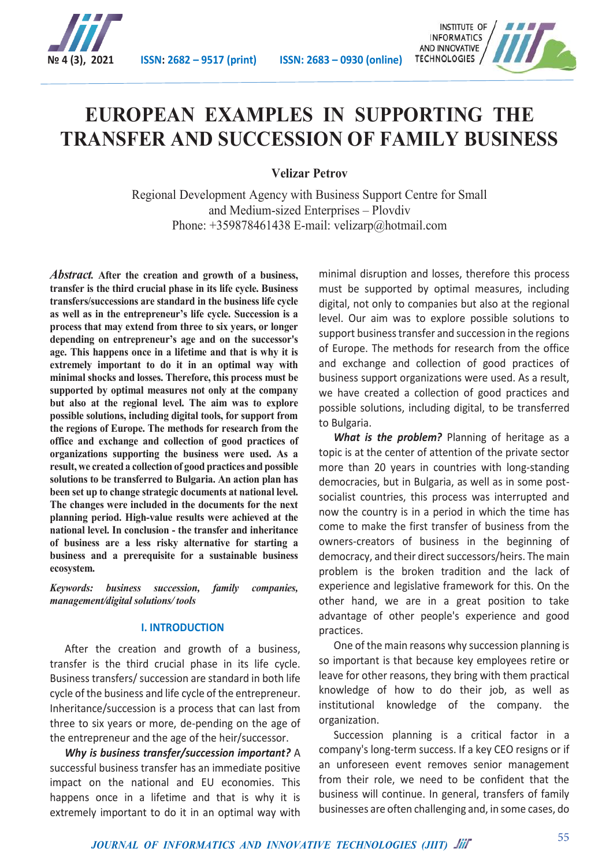

**№ 4 (3), 2021 ISSN: 2682 – 9517 (print) ISSN: 2683 – 0930 (online)**



# **EUROPEAN EXAMPLES IN SUPPORTING THE TRANSFER AND SUCCESSION OF FAMILY BUSINESS**

**Velizar Petrov**

Regional Development Agency with Business Support Centre for Small and Medium-sized Enterprises – Plovdiv Phone: +359878461438 E-mail: velizarp@hotmail.com

*Abstract.* **After the creation and growth of a business, transfer is the third crucial phase in its life cycle. Business transfers/successions are standard in the business life cycle as well as in the entrepreneur's life cycle. Succession is a process that may extend from three to six years, or longer depending on entrepreneur's age and on the successor's age. This happens once in a lifetime and that is why it is extremely important to do it in an optimal way with minimal shocks and losses. Therefore, this process must be supported by optimal measures not only at the company but also at the regional level. The aim was to explore possible solutions, including digital tools, for support from the regions of Europe. The methods for research from the office and exchange and collection of good practices of organizations supporting the business were used. As a result, we created a collection of good practices and possible solutions to be transferred to Bulgaria. An action plan has been set up to change strategic documents at national level. The changes were included in the documents for the next planning period. High-value results were achieved at the national level. In conclusion - the transfer and inheritance of business are a less risky alternative for starting a business and a prerequisite for a sustainable business ecosystem.**

*Keywords: business succession, family companies, management/digital solutions/ tools*

### **I. INTRODUCTION**

After the creation and growth of a business, transfer is the third crucial phase in its life cycle. Business transfers/ succession are standard in both life cycle of the business and life cycle of the entrepreneur. Inheritance/succession is a process that can last from three to six years or more, de-pending on the age of the entrepreneur and the age of the heir/successor.

*Why is business transfer/succession important?* A successful business transfer has an immediate positive impact on the national and EU economies. This happens once in a lifetime and that is why it is extremely important to do it in an optimal way with

minimal disruption and losses, therefore this process must be supported by optimal measures, including digital, not only to companies but also at the regional level. Our aim was to explore possible solutions to support business transfer and succession in the regions of Europe. The methods for research from the office and exchange and collection of good practices of business support organizations were used. As a result, we have created a collection of good practices and possible solutions, including digital, to be transferred to Bulgaria.

*What is the problem?* Planning of heritage as a topic is at the center of attention of the private sector more than 20 years in countries with long-standing democracies, but in Bulgaria, as well as in some postsocialist countries, this process was interrupted and now the country is in a period in which the time has come to make the first transfer of business from the owners-creators of business in the beginning of democracy, and their direct successors/heirs. The main problem is the broken tradition and the lack of experience and legislative framework for this. On the other hand, we are in a great position to take advantage of other people's experience and good practices.

One of the main reasons why succession planning is so important is that because key employees retire or leave for other reasons, they bring with them practical knowledge of how to do their job, as well as institutional knowledge of the company. the organization.

Succession planning is a critical factor in a company's long-term success. If a key CEO resigns or if an unforeseen event removes senior management from their role, we need to be confident that the business will continue. In general, transfers of family businesses are often challenging and, in some cases, do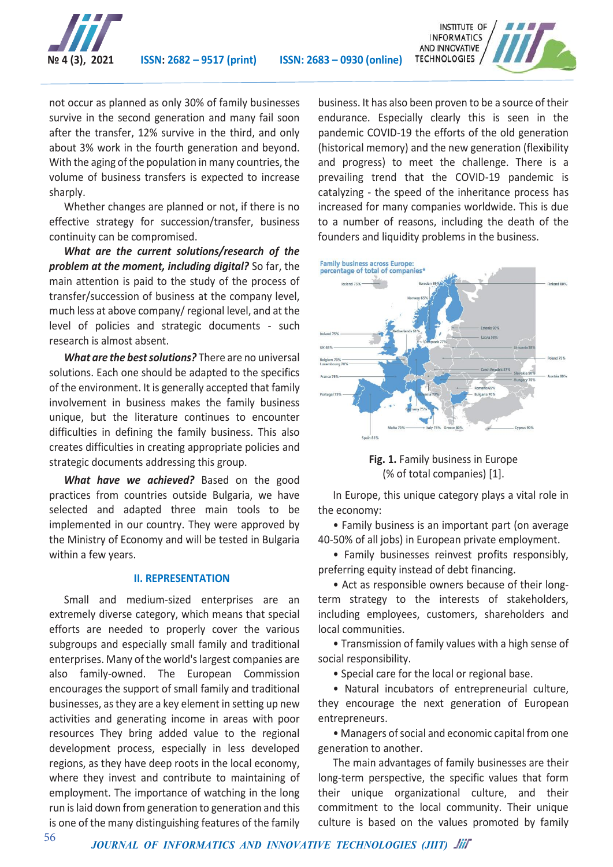



not occur as planned as only 30% of family businesses survive in the second generation and many fail soon after the transfer, 12% survive in the third, and only about 3% work in the fourth generation and beyond. With the aging of the population in many countries, the volume of business transfers is expected to increase sharply.

Whether changes are planned or not, if there is no effective strategy for succession/transfer, business continuity can be compromised.

*What are the current solutions/research of the problem at the moment, including digital?* So far, the main attention is paid to the study of the process of transfer/succession of business at the company level, much less at above company/ regional level, and at the level of policies and strategic documents - such research is almost absent.

*What are the best solutions?* There are no universal solutions. Each one should be adapted to the specifics of the environment. It is generally accepted that family involvement in business makes the family business unique, but the literature continues to encounter difficulties in defining the family business. This also creates difficulties in creating appropriate policies and strategic documents addressing this group.

*What have we achieved?* Based on the good practices from countries outside Bulgaria, we have selected and adapted three main tools to be implemented in our country. They were approved by the Ministry of Economy and will be tested in Bulgaria within a few years.

### **II. REPRESENTATION**

Small and medium-sized enterprises are an extremely diverse category, which means that special efforts are needed to properly cover the various subgroups and especially small family and traditional enterprises. Many of the world's largest companies are also family-owned. The European Commission encourages the support of small family and traditional businesses, as they are a key element in setting up new activities and generating income in areas with poor resources They bring added value to the regional development process, especially in less developed regions, as they have deep roots in the local economy, where they invest and contribute to maintaining of employment. The importance of watching in the long run is laid down from generation to generation and this is one of the many distinguishing features of the family

business. It has also been proven to be a source of their endurance. Especially clearly this is seen in the pandemic COVID-19 the efforts of the old generation (historical memory) and the new generation (flexibility and progress) to meet the challenge. There is a prevailing trend that the COVID-19 pandemic is catalyzing - the speed of the inheritance process has increased for many companies worldwide. This is due to a number of reasons, including the death of the founders and liquidity problems in the business.



**Fig. 1.** Family business in Europe (% of total companies) [1].

In Europe, this unique category plays a vital role in the economy:

• Family business is an important part (on average 40-50% of all jobs) in European private employment.

• Family businesses reinvest profits responsibly, preferring equity instead of debt financing.

• Act as responsible owners because of their longterm strategy to the interests of stakeholders, including employees, customers, shareholders and local communities.

• Transmission of family values with a high sense of social responsibility.

• Special care for the local or regional base.

• Natural incubators of entrepreneurial culture, they encourage the next generation of European entrepreneurs.

• Managers of social and economic capital from one generation to another.

The main advantages of family businesses are their long-term perspective, the specific values that form their unique organizational culture, and their commitment to the local community. Their unique culture is based on the values promoted by family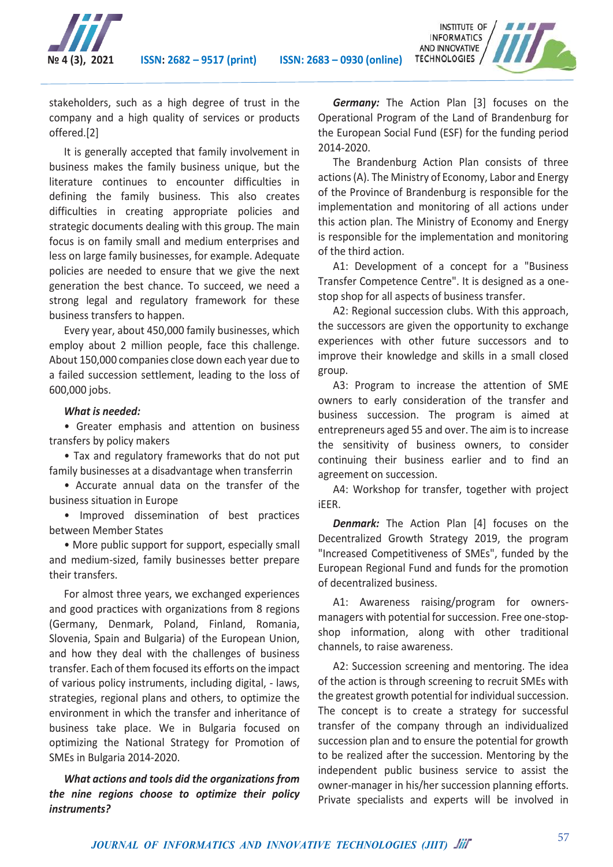

**№ 4 (3), 2021 ISSN: 2682 – 9517 (print) ISSN: 2683 – 0930 (online)**



stakeholders, such as a high degree of trust in the company and a high quality of services or products offered.[2]

It is generally accepted that family involvement in business makes the family business unique, but the literature continues to encounter difficulties in defining the family business. This also creates difficulties in creating appropriate policies and strategic documents dealing with this group. The main focus is on family small and medium enterprises and less on large family businesses, for example. Adequate policies are needed to ensure that we give the next generation the best chance. To succeed, we need a strong legal and regulatory framework for these business transfers to happen.

Every year, about 450,000 family businesses, which employ about 2 million people, face this challenge. About 150,000 companies close down each year due to a failed succession settlement, leading to the loss of 600,000 jobs.

## *What is needed:*

• Greater emphasis and attention on business transfers by policy makers

• Tax and regulatory frameworks that do not put family businesses at a disadvantage when transferrin

• Accurate annual data on the transfer of the business situation in Europe

• Improved dissemination of best practices between Member States

• More public support for support, especially small and medium-sized, family businesses better prepare their transfers.

For almost three years, we exchanged experiences and good practices with organizations from 8 regions (Germany, Denmark, Poland, Finland, Romania, Slovenia, Spain and Bulgaria) of the European Union, and how they deal with the challenges of business transfer. Each of them focused its efforts on the impact of various policy instruments, including digital, - laws, strategies, regional plans and others, to optimize the environment in which the transfer and inheritance of business take place. We in Bulgaria focused on optimizing the National Strategy for Promotion of SMEs in Bulgaria 2014-2020.

*What actions and tools did the organizations from the nine regions choose to optimize their policy instruments?*

*Germany:* The Action Plan [3] focuses on the Operational Program of the Land of Brandenburg for the European Social Fund (ESF) for the funding period 2014-2020.

The Brandenburg Action Plan consists of three actions (A). The Ministry of Economy, Labor and Energy of the Province of Brandenburg is responsible for the implementation and monitoring of all actions under this action plan. The Ministry of Economy and Energy is responsible for the implementation and monitoring of the third action.

A1: Development of a concept for a "Business Transfer Competence Centre". It is designed as a onestop shop for all aspects of business transfer.

A2: Regional succession clubs. With this approach, the successors are given the opportunity to exchange experiences with other future successors and to improve their knowledge and skills in a small closed group.

A3: Program to increase the attention of SME owners to early consideration of the transfer and business succession. The program is aimed at entrepreneurs aged 55 and over. The aim is to increase the sensitivity of business owners, to consider continuing their business earlier and to find an agreement on succession.

A4: Workshop for transfer, together with project iEER.

*Denmark:* The Action Plan [4] focuses on the Decentralized Growth Strategy 2019, the program "Increased Competitiveness of SMEs", funded by the European Regional Fund and funds for the promotion of decentralized business.

A1: Awareness raising/program for ownersmanagers with potential for succession. Free one-stopshop information, along with other traditional channels, to raise awareness.

A2: Succession screening and mentoring. The idea of the action is through screening to recruit SMEs with the greatest growth potential for individual succession. The concept is to create a strategy for successful transfer of the company through an individualized succession plan and to ensure the potential for growth to be realized after the succession. Mentoring by the independent public business service to assist the owner-manager in his/her succession planning efforts. Private specialists and experts will be involved in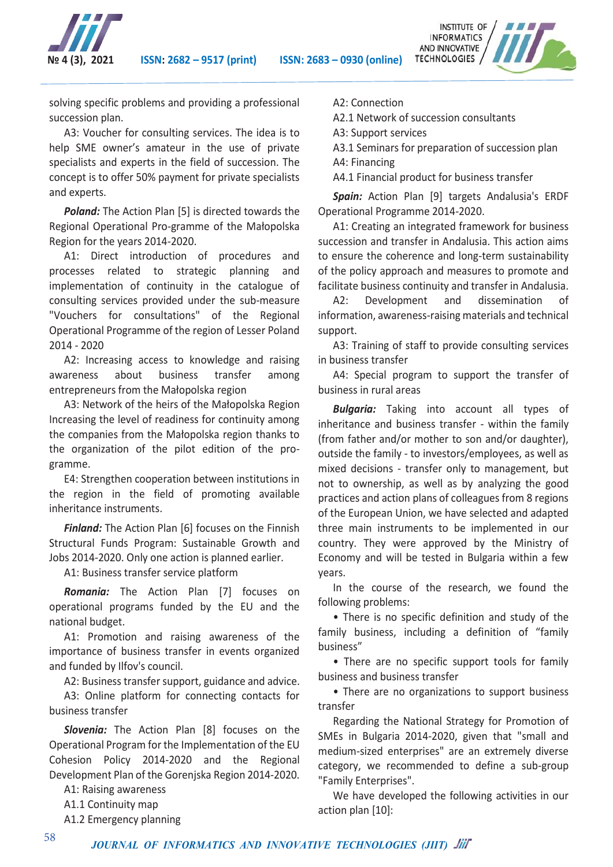

**№ 4 (3), 2021 ISSN: 2682 – 9517 (print) ISSN: 2683 – 0930 (online)**



solving specific problems and providing a professional succession plan.

A3: Voucher for consulting services. The idea is to help SME owner's amateur in the use of private specialists and experts in the field of succession. The concept is to offer 50% payment for private specialists and experts.

*Poland:* The Action Plan [5] is directed towards the Regional Operational Pro-gramme of the Małopolska Region for the years 2014-2020.

A1: Direct introduction of procedures and processes related to strategic planning and implementation of continuity in the catalogue of consulting services provided under the sub-measure "Vouchers for consultations" of the Regional Operational Programme of the region of Lesser Poland 2014 - 2020

A2: Increasing access to knowledge and raising awareness about business transfer among entrepreneurs from the Małopolska region

A3: Network of the heirs of the Małopolska Region Increasing the level of readiness for continuity among the companies from the Małopolska region thanks to the organization of the pilot edition of the programme.

E4: Strengthen cooperation between institutions in the region in the field of promoting available inheritance instruments.

*Finland:* The Action Plan [6] focuses on the Finnish Structural Funds Program: Sustainable Growth and Jobs 2014-2020. Only one action is planned earlier.

A1: Business transfer service platform

*Romania:* The Action Plan [7] focuses on operational programs funded by the EU and the national budget.

A1: Promotion and raising awareness of the importance of business transfer in events organized and funded by Ilfov's council.

A2: Business transfer support, guidance and advice.

A3: Online platform for connecting contacts for business transfer

*Slovenia:* The Action Plan [8] focuses on the Operational Program for the Implementation of the EU Cohesion Policy 2014-2020 and the Regional Development Plan of the Gorenjska Region 2014-2020.

A1: Raising awareness

A1.1 Continuity map

A1.2 Emergency planning

A2: Connection

A2.1 Network of succession consultants

A3: Support services

A3.1 Seminars for preparation of succession plan

A4: Financing

A4.1 Financial product for business transfer

*Spain:* Action Plan [9] targets Andalusia's ERDF Operational Programme 2014-2020.

A1: Creating an integrated framework for business succession and transfer in Andalusia. This action aims to ensure the coherence and long-term sustainability of the policy approach and measures to promote and facilitate business continuity and transfer in Andalusia.

A2: Development and dissemination of information, awareness-raising materials and technical support.

A3: Training of staff to provide consulting services in business transfer

A4: Special program to support the transfer of business in rural areas

*Bulgaria:* Taking into account all types of inheritance and business transfer - within the family (from father and/or mother to son and/or daughter), outside the family - to investors/employees, as well as mixed decisions - transfer only to management, but not to ownership, as well as by analyzing the good practices and action plans of colleagues from 8 regions of the European Union, we have selected and adapted three main instruments to be implemented in our country. They were approved by the Ministry of Economy and will be tested in Bulgaria within a few years.

In the course of the research, we found the following problems:

• There is no specific definition and study of the family business, including a definition of "family business"

• There are no specific support tools for family business and business transfer

• There are no organizations to support business transfer

Regarding the National Strategy for Promotion of SMEs in Bulgaria 2014-2020, given that "small and medium-sized enterprises" are an extremely diverse category, we recommended to define a sub-group "Family Enterprises".

We have developed the following activities in our action plan [10]: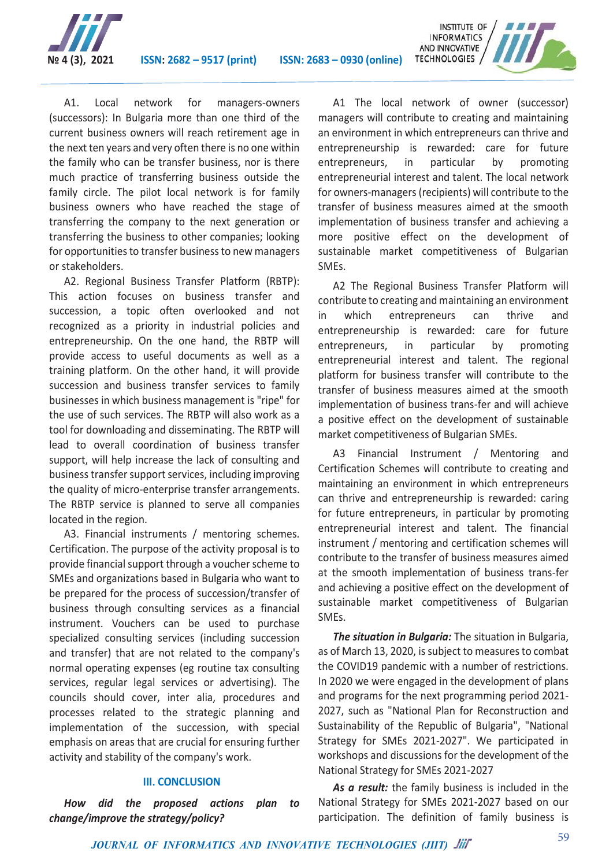



A1. Local network for managers-owners (successors): In Bulgaria more than one third of the current business owners will reach retirement age in the next ten years and very often there is no one within the family who can be transfer business, nor is there much practice of transferring business outside the family circle. The pilot local network is for family business owners who have reached the stage of transferring the company to the next generation or transferring the business to other companies; looking for opportunities to transfer business to new managers or stakeholders.

A2. Regional Business Transfer Platform (RBTP): This action focuses on business transfer and succession, a topic often overlooked and not recognized as a priority in industrial policies and entrepreneurship. On the one hand, the RBTP will provide access to useful documents as well as a training platform. On the other hand, it will provide succession and business transfer services to family businesses in which business management is "ripe" for the use of such services. The RBTP will also work as a tool for downloading and disseminating. The RBTP will lead to overall coordination of business transfer support, will help increase the lack of consulting and business transfer support services, including improving the quality of micro-enterprise transfer arrangements. The RBTP service is planned to serve all companies located in the region.

A3. Financial instruments / mentoring schemes. Certification. The purpose of the activity proposal is to provide financial support through a voucher scheme to SMEs and organizations based in Bulgaria who want to be prepared for the process of succession/transfer of business through consulting services as a financial instrument. Vouchers can be used to purchase specialized consulting services (including succession and transfer) that are not related to the company's normal operating expenses (eg routine tax consulting services, regular legal services or advertising). The councils should cover, inter alia, procedures and processes related to the strategic planning and implementation of the succession, with special emphasis on areas that are crucial for ensuring further activity and stability of the company's work.

# **III. CONCLUSION**

*How did the proposed actions plan to change/improve the strategy/policy?*

A1 The local network of owner (successor) managers will contribute to creating and maintaining an environment in which entrepreneurs can thrive and entrepreneurship is rewarded: care for future entrepreneurs, in particular by promoting entrepreneurial interest and talent. The local network for owners-managers (recipients) will contribute to the transfer of business measures aimed at the smooth implementation of business transfer and achieving a more positive effect on the development of sustainable market competitiveness of Bulgarian SMEs.

A2 The Regional Business Transfer Platform will contribute to creating and maintaining an environment in which entrepreneurs can thrive and entrepreneurship is rewarded: care for future entrepreneurs, in particular by promoting entrepreneurial interest and talent. The regional platform for business transfer will contribute to the transfer of business measures aimed at the smooth implementation of business trans-fer and will achieve a positive effect on the development of sustainable market competitiveness of Bulgarian SMEs.

A3 Financial Instrument / Mentoring and Certification Schemes will contribute to creating and maintaining an environment in which entrepreneurs can thrive and entrepreneurship is rewarded: caring for future entrepreneurs, in particular by promoting entrepreneurial interest and talent. The financial instrument / mentoring and certification schemes will contribute to the transfer of business measures aimed at the smooth implementation of business trans-fer and achieving a positive effect on the development of sustainable market competitiveness of Bulgarian SMEs.

*The situation in Bulgaria:* The situation in Bulgaria, as of March 13, 2020, is subject to measures to combat the COVID19 pandemic with a number of restrictions. In 2020 we were engaged in the development of plans and programs for the next programming period 2021- 2027, such as "National Plan for Reconstruction and Sustainability of the Republic of Bulgaria", "National Strategy for SMEs 2021-2027". We participated in workshops and discussions for the development of the National Strategy for SMEs 2021-2027

As a result: the family business is included in the National Strategy for SMEs 2021-2027 based on our participation. The definition of family business is